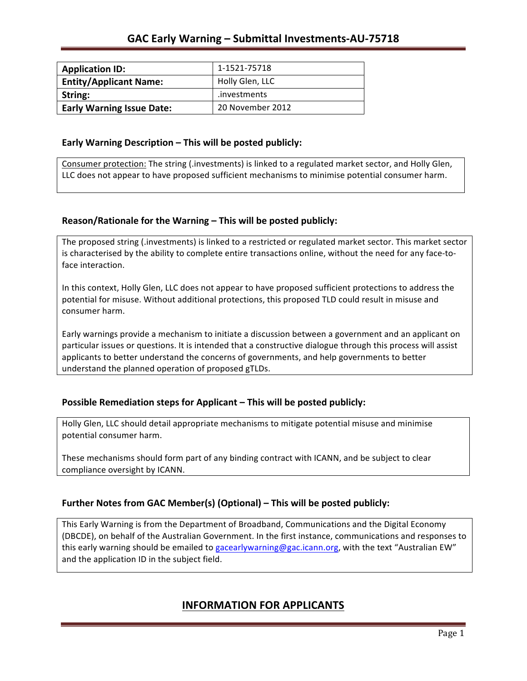| <b>Application ID:</b>           | 1-1521-75718     |
|----------------------------------|------------------|
| <b>Entity/Applicant Name:</b>    | Holly Glen, LLC  |
| String:                          | .investments     |
| <b>Early Warning Issue Date:</b> | 20 November 2012 |

## **Early Warning Description – This will be posted publicly:**

Consumer protection: The string (.investments) is linked to a regulated market sector, and Holly Glen, LLC does not appear to have proposed sufficient mechanisms to minimise potential consumer harm.

## **Reason/Rationale for the Warning – This will be posted publicly:**

The proposed string (.investments) is linked to a restricted or regulated market sector. This market sector is characterised by the ability to complete entire transactions online, without the need for any face-toface interaction.

In this context, Holly Glen, LLC does not appear to have proposed sufficient protections to address the potential for misuse. Without additional protections, this proposed TLD could result in misuse and consumer harm.

Early warnings provide a mechanism to initiate a discussion between a government and an applicant on particular issues or questions. It is intended that a constructive dialogue through this process will assist applicants to better understand the concerns of governments, and help governments to better understand the planned operation of proposed gTLDs.

## **Possible Remediation steps for Applicant – This will be posted publicly:**

Holly Glen, LLC should detail appropriate mechanisms to mitigate potential misuse and minimise potential consumer harm.

These mechanisms should form part of any binding contract with ICANN, and be subject to clear compliance oversight by ICANN.

## **Further Notes from GAC Member(s) (Optional)** – This will be posted publicly:

This Early Warning is from the Department of Broadband, Communications and the Digital Economy (DBCDE), on behalf of the Australian Government. In the first instance, communications and responses to this early warning should be emailed to gacearlywarning@gac.icann.org, with the text "Australian EW" and the application ID in the subject field.

# **INFORMATION FOR APPLICANTS**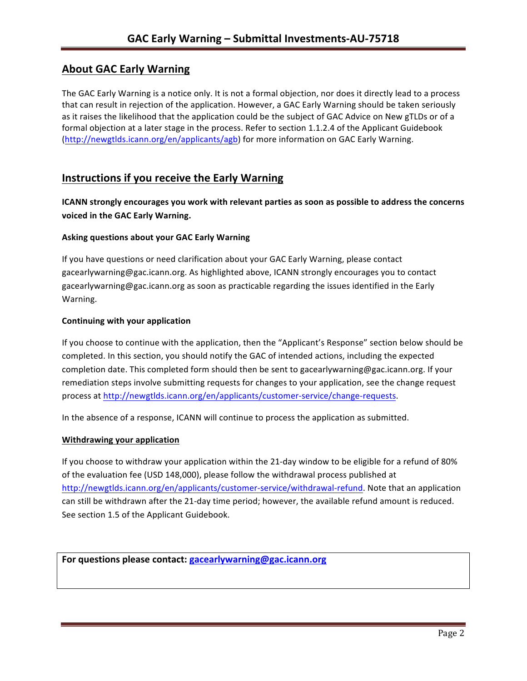# **About GAC Early Warning**

The GAC Early Warning is a notice only. It is not a formal objection, nor does it directly lead to a process that can result in rejection of the application. However, a GAC Early Warning should be taken seriously as it raises the likelihood that the application could be the subject of GAC Advice on New gTLDs or of a formal objection at a later stage in the process. Refer to section 1.1.2.4 of the Applicant Guidebook (http://newgtlds.icann.org/en/applicants/agb) for more information on GAC Early Warning.

# **Instructions if you receive the Early Warning**

**ICANN** strongly encourages you work with relevant parties as soon as possible to address the concerns **voiced in the GAC Early Warning.** 

## **Asking questions about your GAC Early Warning**

If you have questions or need clarification about your GAC Early Warning, please contact gacearlywarning@gac.icann.org. As highlighted above, ICANN strongly encourages you to contact gacearlywarning@gac.icann.org as soon as practicable regarding the issues identified in the Early Warning. 

## **Continuing with your application**

If you choose to continue with the application, then the "Applicant's Response" section below should be completed. In this section, you should notify the GAC of intended actions, including the expected completion date. This completed form should then be sent to gacearlywarning@gac.icann.org. If your remediation steps involve submitting requests for changes to your application, see the change request process at http://newgtlds.icann.org/en/applicants/customer-service/change-requests.

In the absence of a response, ICANN will continue to process the application as submitted.

## **Withdrawing your application**

If you choose to withdraw your application within the 21-day window to be eligible for a refund of 80% of the evaluation fee (USD 148,000), please follow the withdrawal process published at http://newgtlds.icann.org/en/applicants/customer-service/withdrawal-refund. Note that an application can still be withdrawn after the 21-day time period; however, the available refund amount is reduced. See section 1.5 of the Applicant Guidebook.

```
For questions please contact: gacearlywarning@gac.icann.org
```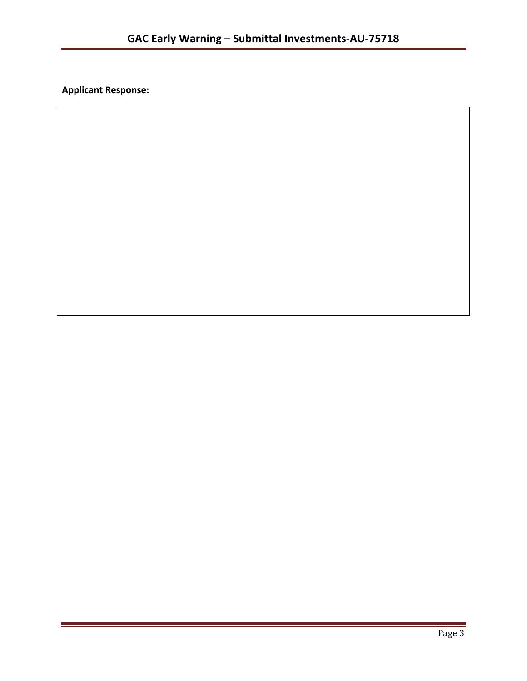**Applicant Response:**